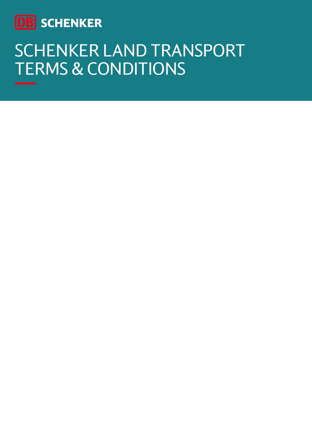

# SCHENKER LAND TRANSPORT TERMS & CONDITIONS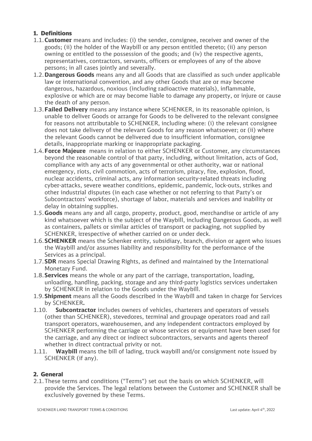## 1. Definitions

- 1.1.**Customer** means and includes: (i) the sender, consignee, receiver and owner of the goods; (ii) the holder of the Waybill or any person entitled thereto; (ii) any person owning or entitled to the possession of the goods; and (iv) the respective agents, representatives, contractors, servants, officers or employees of any of the above persons; in all cases jointly and severally.
- 1.2.**Dangerous Goods** means any and all Goods that are classified as such under applicable law or international convention, and any other Goods that are or may become dangerous, hazardous, noxious (including radioactive materials), inflammable, explosive or which are or may become liable to damage any property, or injure or cause the death of any person.
- 1.3.**Failed Delivery** means any instance where SCHENKER, in its reasonable opinion, is unable to deliver Goods or arrange for Goods to be delivered to the relevant consignee for reasons not attributable to SCHENKER, including where: (i) the relevant consignee does not take delivery of the relevant Goods for any reason whatsoever; or (ii) where the relevant Goods cannot be delivered due to insufficient information, consignee details, inappropriate marking or inappropriate packaging.
- 1.4.**Force Majeure** means in relation to either SCHENKER or Customer, any circumstances beyond the reasonable control of that party, including, without limitation, acts of God, compliance with any acts of any governmental or other authority, war or national emergency, riots, civil commotion, acts of terrorism, piracy, fire, explosion, flood, nuclear accidents, criminal acts, any information security-related threats including cyber-attacks, severe weather conditions, epidemic, pandemic, lock-outs, strikes and other industrial disputes (in each case whether or not referring to that Party's or Subcontractors' workforce), shortage of labor, materials and services and inability or delay in obtaining supplies.
- 1.5.**Goods** means any and all cargo, property, product, good, merchandise or article of any kind whatsoever which is the subject of the Waybill, including Dangerous Goods, as well as containers, pallets or similar articles of transport or packaging, not supplied by SCHENKER, irrespective of whether carried on or under deck.
- 1.6.**SCHENKER** means the Schenker entity, subsidiary, branch, division or agent who issues the Waybill and/or assumes liability and responsibility for the performance of the Services as a principal.
- 1.7.**SDR** means Special Drawing Rights, as defined and maintained by the International Monetary Fund.
- 1.8.**Services** means the whole or any part of the carriage, transportation, loading, unloading, handling, packing, storage and any third-party logistics services undertaken by SCHENKER in relation to the Goods under the Waybill.
- 1.9.**Shipment** means all the Goods described in the Waybill and taken in charge for Services by SCHENKER**.**
- 1.10. **Subcontractor** includes owners of vehicles, charterers and operators of vessels (other than SCHENKER), stevedores, terminal and groupage operators road and rail transport operators, warehousemen, and any independent contractors employed by SCHENKER performing the carriage or whose services or equipment have been used for the carriage, and any direct or indirect subcontractors, servants and agents thereof whether in direct contractual privity or not.
- 1.11. **Waybill** means the bill of lading, truck waybill and/or consignment note issued by SCHENKER (if any).

## 2. General

2.1.These terms and conditions ("Terms") set out the basis on which SCHENKER, will provide the Services. The legal relations between the Customer and SCHENKER shall be exclusively governed by these Terms.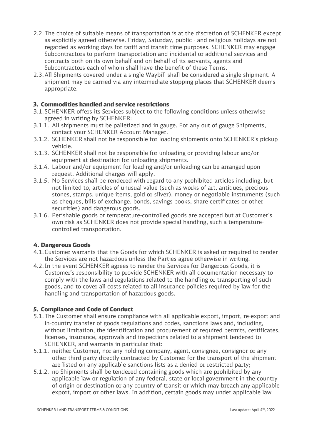- 2.2.The choice of suitable means of transportation is at the discretion of SCHENKER except as explicitly agreed otherwise. Friday, Saturday, public - and religious holidays are not regarded as working days for tariff and transit time purposes. SCHENKER may engage Subcontractors to perform transportation and incidental or additional services and contracts both on its own behalf and on behalf of its servants, agents and Subcontractors each of whom shall have the benefit of these Terms.
- 2.3.All Shipments covered under a single Waybill shall be considered a single shipment. A shipment may be carried via any intermediate stopping places that SCHENKER deems appropriate.

## 3. Commodities handled and service restrictions

- 3.1.SCHENKER offers its Services subject to the following conditions unless otherwise agreed in writing by SCHENKER:
- 3.1.1. All shipments must be palletized and in gauge. For any out of gauge Shipments, contact your SCHENKER Account Manager.
- 3.1.2. SCHENKER shall not be responsible for loading shipments onto SCHENKER's pickup vehicle.
- 3.1.3. SCHENKER shall not be responsible for unloading or providing labour and/or equipment at destination for unloading shipments.
- 3.1.4. Labour and/or equipment for loading and/or unloading can be arranged upon request. Additional charges will apply.
- 3.1.5. No Services shall be rendered with regard to any prohibited articles including, but not limited to, articles of unusual value (such as works of art, antiques, precious stones, stamps, unique items, gold or silver), money or negotiable instruments (such as cheques, bills of exchange, bonds, savings books, share certificates or other securities) and dangerous goods.
- 3.1.6. Perishable goods or temperature-controlled goods are accepted but at Customer's own risk as SCHENKER does not provide special handling, such a temperaturecontrolled transportation.

## 4. Dangerous Goods

- 4.1.Customer warrants that the Goods for which SCHENKER is asked or required to render the Services are not hazardous unless the Parties agree otherwise in writing.
- 4.2.In the event SCHENKER agrees to render the Services for Dangerous Goods, it is Customer's responsibility to provide SCHENKER with all documentation necessary to comply with the laws and regulations related to the handling or transporting of such goods, and to cover all costs related to all insurance policies required by law for the handling and transportation of hazardous goods.

## 5. Compliance and Code of Conduct

- 5.1.The Customer shall ensure compliance with all applicable export, import, re-export and in-country transfer of goods regulations and codes, sanctions laws and, including, without limitation, the identification and procurement of required permits, certificates, licenses, insurance, approvals and inspections related to a shipment tendered to SCHENKER, and warrants in particular that:
- 5.1.1. neither Customer, nor any holding company, agent, consignee, consignor or any other third party directly contracted by Customer for the transport of the shipment are listed on any applicable sanctions lists as a denied or restricted party;
- 5.1.2. no Shipments shall be tendered containing goods which are prohibited by any applicable law or regulation of any federal, state or local government in the country of origin or destination or any country of transit or which may breach any applicable export, import or other laws. In addition, certain goods may under applicable law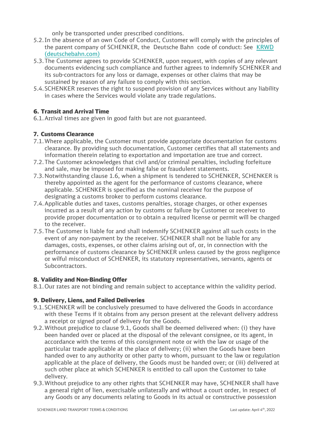only be transported under prescribed conditions.

- 5.2.In the absence of an own Code of Conduct, Customer will comply with the principles of the parent company of SCHENKER, the Deutsche Bahn code of conduct: See [KRWD](https://www.deutschebahn.com/resource/blob/264454/14349b7f9d9178247e23c47112afe580/code_of_conduct-data.pdf)  [\(deutschebahn.com\)](https://www.deutschebahn.com/resource/blob/264454/14349b7f9d9178247e23c47112afe580/code_of_conduct-data.pdf)
- 5.3.The Customer agrees to provide SCHENKER, upon request, with copies of any relevant documents evidencing such compliance and further agrees to indemnify SCHENKER and its sub-contractors for any loss or damage, expenses or other claims that may be sustained by reason of any failure to comply with this section.
- 5.4.SCHENKER reserves the right to suspend provision of any Services without any liability in cases where the Services would violate any trade regulations.

# 6. Transit and Arrival Time

6.1.Arrival times are given in good faith but are not guaranteed.

## 7. Customs Clearance

- 7.1.Where applicable, the Customer must provide appropriate documentation for customs clearance. By providing such documentation, Customer certifies that all statements and information therein relating to exportation and importation are true and correct.
- 7.2.The Customer acknowledges that civil and/or criminal penalties, including forfeiture and sale, may be imposed for making false or fraudulent statements.
- 7.3.Notwithstanding clause 1.6, when a shipment is tendered to SCHENKER, SCHENKER is thereby appointed as the agent for the performance of customs clearance, where applicable. SCHENKER is specified as the nominal receiver for the purpose of designating a customs broker to perform customs clearance.
- 7.4.Applicable duties and taxes, customs penalties, storage charges, or other expenses incurred as a result of any action by customs or failure by Customer or receiver to provide proper documentation or to obtain a required license or permit will be charged to the receiver.
- 7.5.The Customer is liable for and shall indemnify SCHENKER against all such costs in the event of any non-payment by the receiver. SCHENKER shall not be liable for any damages, costs, expenses, or other claims arising out of, or, in connection with the performance of customs clearance by SCHENKER unless caused by the gross negligence or wilful misconduct of SCHENKER, its statutory representatives, servants, agents or Subcontractors.

## 8. Validity and Non-Binding Offer

8.1.Our rates are not binding and remain subject to acceptance within the validity period.

## 9. Delivery, Liens, and Failed Deliveries

- <span id="page-3-0"></span>9.1.SCHENKER will be conclusively presumed to have delivered the Goods in accordance with these Terms if it obtains from any person present at the relevant delivery address a receipt or signed proof of delivery for the Goods.
- 9.2.Without prejudice to clause [9.1,](#page-3-0) Goods shall be deemed delivered when: (i) they have been handed over or placed at the disposal of the relevant consignee, or its agent, in accordance with the terms of this consignment note or with the law or usage of the particular trade applicable at the place of delivery; (ii) when the Goods have been handed over to any authority or other party to whom, pursuant to the law or regulation applicable at the place of delivery, the Goods must be handed over; or (iii) delivered at such other place at which SCHENKER is entitled to call upon the Customer to take delivery.
- <span id="page-3-1"></span>9.3.Without prejudice to any other rights that SCHENKER may have, SCHENKER shall have a general right of lien, exercisable unilaterally and without a court order, in respect of any Goods or any documents relating to Goods in its actual or constructive possession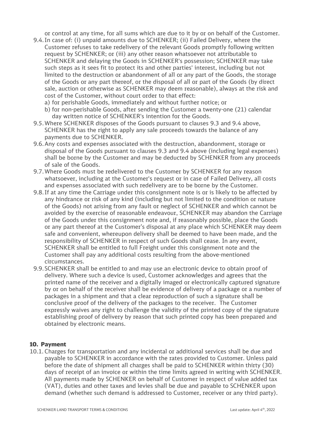or control at any time, for all sums which are due to it by or on behalf of the Customer.

- <span id="page-4-0"></span>9.4.In case of: (i) unpaid amounts due to SCHENKER; (ii) Failed Delivery, where the Customer refuses to take redelivery of the relevant Goods promptly following written request by SCHENKER; or (iii) any other reason whatsoever not attributable to SCHENKER and delaying the Goods in SCHENKER's possession; SCHENKER may take such steps as it sees fit to protect its and other parties' interest, including but not limited to the destruction or abandonment of all or any part of the Goods, the storage of the Goods or any part thereof, or the disposal of all or part of the Goods (by direct sale, auction or otherwise as SCHENKER may deem reasonable), always at the risk and cost of the Customer, without court order to that effect:
	- a) for perishable Goods, immediately and without further notice; or
	- b) for non-perishable Goods, after sending the Customer a twenty-one (21) calendar day written notice of SCHENKER's intention for the Goods.
- 9.5.Where SCHENKER disposes of the Goods pursuant to clauses [9.3](#page-3-1) and [9.4](#page-4-0) above, SCHENKER has the right to apply any sale proceeds towards the balance of any payments due to SCHENKER.
- 9.6.Any costs and expenses associated with the destruction, abandonment, storage or disposal of the Goods pursuant to clauses [9.3](#page-3-1) and [9.4](#page-4-0) above (including legal expenses) shall be borne by the Customer and may be deducted by SCHENKER from any proceeds of sale of the Goods.
- 9.7.Where Goods must be redelivered to the Customer by SCHENKER for any reason whatsoever, including at the Customer's request or in case of Failed Delivery, all costs and expenses associated with such redelivery are to be borne by the Customer.
- 9.8.If at any time the Carriage under this consignment note is or is likely to be affected by any hindrance or risk of any kind (including but not limited to the condition or nature of the Goods) not arising from any fault or neglect of SCHENKER and which cannot be avoided by the exercise of reasonable endeavour, SCHENKER may abandon the Carriage of the Goods under this consignment note and, if reasonably possible, place the Goods or any part thereof at the Customer's disposal at any place which SCHENKER may deem safe and convenient, whereupon delivery shall be deemed to have been made, and the responsibility of SCHENKER in respect of such Goods shall cease. In any event, SCHENKER shall be entitled to full Freight under this consignment note and the Customer shall pay any additional costs resulting from the above-mentioned circumstances.
- 9.9.SCHENKER shall be entitled to and may use an electronic device to obtain proof of delivery. Where such a device is used, Customer acknowledges and agrees that the printed name of the receiver and a digitally imaged or electronically captured signature by or on behalf of the receiver shall be evidence of delivery of a package or a number of packages in a shipment and that a clear reproduction of such a signature shall be conclusive proof of the delivery of the packages to the receiver. The Customer expressly waives any right to challenge the validity of the printed copy of the signature establishing proof of delivery by reason that such printed copy has been prepared and obtained by electronic means.

#### 10. Payment

10.1. Charges for transportation and any incidental or additional services shall be due and payable to SCHENKER in accordance with the rates provided to Customer. Unless paid before the date of shipment all charges shall be paid to SCHENKER within thirty (30) days of receipt of an invoice or within the time limits agreed in writing with SCHENKER. All payments made by SCHENKER on behalf of Customer in respect of value added tax (VAT), duties and other taxes and levies shall be due and payable to SCHENKER upon demand (whether such demand is addressed to Customer, receiver or any third party).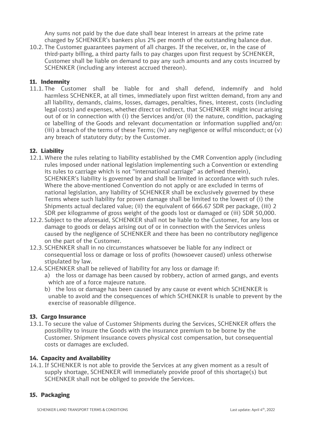Any sums not paid by the due date shall bear interest in arrears at the prime rate charged by SCHENKER's bankers plus 2% per month of the outstanding balance due.

10.2. The Customer guarantees payment of all charges. If the receiver, or, in the case of third-party billing, a third party fails to pay charges upon first request by SCHENKER, Customer shall be liable on demand to pay any such amounts and any costs incurred by SCHENKER (including any interest accrued thereon).

## 11. Indemnity

11.1. The Customer shall be liable for and shall defend, indemnify and hold harmless SCHENKER, at all times, immediately upon first written demand, from any and all liability, demands, claims, losses, damages, penalties, fines, interest, costs (including legal costs) and expenses, whether direct or indirect, that SCHENKER might incur arising out of or in connection with (i) the Services and/or (ii) the nature, condition, packaging or labelling of the Goods and relevant documentation or information supplied and/or: (iii) a breach of the terms of these Terms; (iv) any negligence or wilful misconduct; or (v) any breach of statutory duty; by the Customer.

## 12. Liability

- 12.1. Where the rules relating to liability established by the CMR Convention apply (including rules imposed under national legislation implementing such a Convention or extending its rules to carriage which is not "international carriage" as defined therein), SCHENKER's liability is governed by and shall be limited in accordance with such rules. Where the above-mentioned Convention do not apply or are excluded in terms of national legislation, any liability of SCHENKER shall be exclusively governed by these Terms where such liability for proven damage shall be limited to the lowest of (i) the Shipments actual declared value; (ii) the equivalent of 666.67 SDR per package, (iii) 2 SDR per kilogramme of gross weight of the goods lost or damaged or (iii) SDR 50,000.
- 12.2. Subject to the aforesaid, SCHENKER shall not be liable to the Customer, for any loss or damage to goods or delays arising out of or in connection with the Services unless caused by the negligence of SCHENKER and there has been no contributory negligence on the part of the Customer.
- 12.3. SCHENKER shall in no circumstances whatsoever be liable for any indirect or consequential loss or damage or loss of profits (howsoever caused) unless otherwise stipulated by law.
- 12.4. SCHENKER shall be relieved of liability for any loss or damage if:
	- a) the loss or damage has been caused by robbery, action of armed gangs, and events which are of a force majeure nature.
	- b) the loss or damage has been caused by any cause or event which SCHENKER is unable to avoid and the consequences of which SCHENKER is unable to prevent by the exercise of reasonable diligence.

#### 13. Cargo Insurance

13.1. To secure the value of Customer Shipments during the Services, SCHENKER offers the possibility to insure the Goods with the insurance premium to be borne by the Customer. Shipment insurance covers physical cost compensation, but consequential costs or damages are excluded.

#### 14. Capacity and Availability

14.1.If SCHENKER is not able to provide the Services at any given moment as a result of supply shortage, SCHENKER will immediately provide proof of this shortage(s) but SCHENKER shall not be obliged to provide the Services.

#### 15. Packaging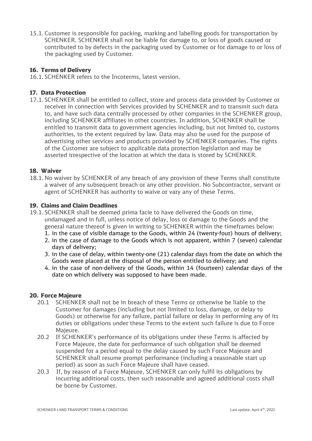15.1. Customer is responsible for packing, marking and labelling goods for transportation by SCHENKER. SCHENKER shall not be liable for damage to, or loss of goods caused or contributed to by defects in the packaging used by Customer or for damage to or loss of the packaging used by Customer.

#### 16. Terms of Delivery

16.1. SCHENKER refers to the Incoterms, latest version.

#### 17. Data Protection

17.1. SCHENKER shall be entitled to collect, store and process data provided by Customer or receiver in connection with Services provided by SCHENKER and to transmit such data to, and have such data centrally processed by other companies in the SCHENKER group, including SCHENKER affiliates in other countries. In addition, SCHENKER shall be entitled to transmit data to government agencies including, but not limited to, customs authorities, to the extent required by law. Data may also be used for the purpose of advertising other services and products provided by SCHENKER companies. The rights of the Customer are subject to applicable data protection legislation and may be asserted irrespective of the location at which the data is stored by SCHENKER.

#### 18. Waiver

18.1. No waiver by SCHENKER of any breach of any provision of these Terms shall constitute a waiver of any subsequent breach or any other provision. No Subcontractor, servant or agent of SCHENKER has authority to waive or vary any of these Terms.

#### 19. Claims and Claim Deadlines

- 19.1. SCHENKER shall be deemed prima facie to have delivered the Goods on time, undamaged and in full, unless notice of delay, loss or damage to the Goods and the general nature thereof is given in writing to SCHENKER within the timeframes below:
	- 1. in the case of visible damage to the Goods, within 24 (twenty-four) hours of delivery;
	- 2. in the case of damage to the Goods which is not apparent, within 7 (seven) calendar days of delivery;
	- 3. in the case of delay, within twenty-one (21) calendar days from the date on which the Goods were placed at the disposal of the person entitled to delivery; and
	- 4. in the case of non-delivery of the Goods, within 14 (fourteen) calendar days of the date on which delivery was supposed to have been made.

#### 20. Force Majeure

- 20.1 SCHENKER shall not be in breach of these Terms or otherwise be liable to the Customer for damages (including but not limited to loss, damage, or delay to Goods) or otherwise for any failure, partial failure or delay in performing any of its duties or obligations under these Terms to the extent such failure is due to Force Majeure.
- 20.2 If SCHENKER's performance of its obligations under these Terms is affected by Force Majeure, the date for performance of such obligation shall be deemed suspended for a period equal to the delay caused by such Force Majeure and SCHENKER shall resume prompt performance (including a reasonable start up period) as soon as such Force Majeure shall have ceased.
- 20.3 If, by reason of a Force Majeure, SCHENKER can only fulfil its obligations by incurring additional costs, then such reasonable and agreed additional costs shall be borne by Customer.